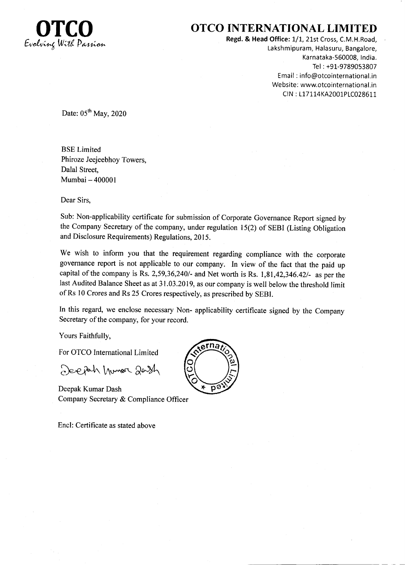

## OTCO INTERNATIONAL LIMITED

Regd. & Head Office: 1/1, 21st Cross, C.M.H.Road, Lakshmipuram, Halasuru, Bangalore, Karnataka-560008, India. Tel : +91-9789053807 Email : info@otcointernational.in Website: www.otcointernational.in CIN: L17114KA2001PLC028611

Date:  $05<sup>th</sup>$  May, 2020

BSE Limited Phiroze Jeejeebhoy Towers, Dalal Street, Mumbai - <sup>400001</sup>

Dear Sirs,

Sub: Non-applicability certificate for submission of Corporate Governance Report signed by the Company Secretary of the company, under regulation l5(2) of SEBI (Listing Obligation and Disclosure Requirements) Regulations, 2015.

We wish to inform you that the requirement regarding compliance with the corporate governance report is not applicable to our company. In view of the fact that the paid up capital of the company is Rs. 2,59,36,240/- and Net worth is Rs.  $1,81,42,346.42/$ - as per the last Audited Balance Sheet as at 31.03.2019, as our company is well below the threshold limit of Rs 10 Crores and Rs 25 Crores respectively, as prescribed by SEBI.

In this regard, we enclose necessary Non- applicability certificate signed by the Company Secretary of the company, for your record.

Yours Faithfully,

For OTCO International Limited

2eph Munor 20sh

Deepak Kumar Dash Company Secretary & Compliance Officer

Encl: Certificate as stated above